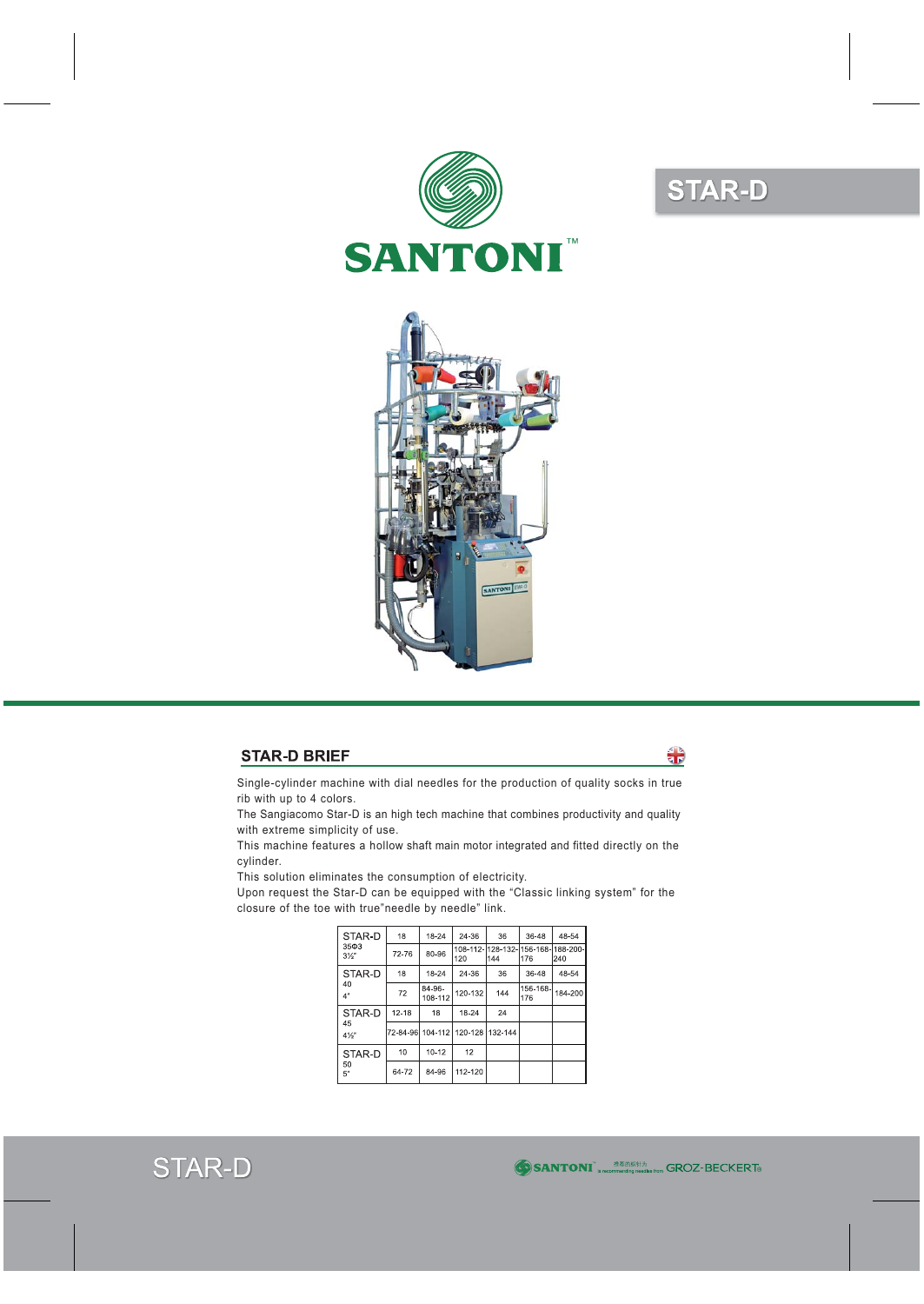

## **STAR-D**



## **STAR-D BRIEF**

ै।<br>वार

Single-cylinder machine with dial needles for the production of quality socks in true rib with up to 4 colors.

The Sangiacomo Star-D is an high tech machine that combines productivity and quality with extreme simplicity of use.

This machine features a hollow shaft main motor integrated and fitted directly on the cylinder.

This solution eliminates the consumption of electricity.

Upon request the Star-D can be equipped with the "Classic linking system" for the closure of the toe with true"needle by needle" link.

| STAR-D<br>$35\Phi3$<br>$3\frac{1}{2}$ | 18        | 18-24             | 24-36                            | 36  | 36-48                                      | 48-54   |
|---------------------------------------|-----------|-------------------|----------------------------------|-----|--------------------------------------------|---------|
|                                       | 72-76     | 80-96             | 120                              | 144 | 108-112-1128-132-1156-168-1188-200-<br>176 | 240     |
| STAR-D<br>40<br>4"                    | 18        | 18-24             | 24-36                            | 36  | 36-48                                      | 48-54   |
|                                       | 72        | 84-96-<br>108-112 | 120-132                          | 144 | 156-168-<br>176                            | 184-200 |
| STAR-D<br>45<br>$4\frac{1}{2}$        | $12 - 18$ | 18                | 18-24                            | 24  |                                            |         |
|                                       |           |                   | 72-84-96 104-112 120-128 132-144 |     |                                            |         |
| STAR-D<br>50<br>5"                    | 10        | $10 - 12$         | 12                               |     |                                            |         |
|                                       | 64-72     | 84-96             | 112-120                          |     |                                            |         |